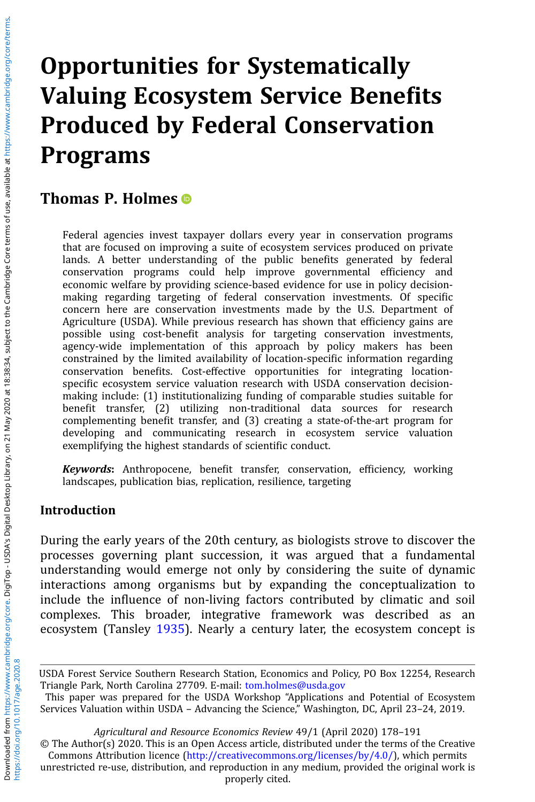# Opportunities for Systematically Valuing Ecosystem Service Benefits Produced by Federal Conservation Programs

## Thomas P. Holmes

Federal agencies invest taxpayer dollars every year in conservation programs that are focused on improving a suite of ecosystem services produced on private lands. A better understanding of the public benefits generated by federal conservation programs could help improve governmental efficiency and economic welfare by providing science-based evidence for use in policy decisionmaking regarding targeting of federal conservation investments. Of specific concern here are conservation investments made by the U.S. Department of Agriculture (USDA). While previous research has shown that efficiency gains are possible using cost-benefit analysis for targeting conservation investments, agency-wide implementation of this approach by policy makers has been constrained by the limited availability of location-specific information regarding conservation benefits. Cost-effective opportunities for integrating locationspecific ecosystem service valuation research with USDA conservation decisionmaking include: (1) institutionalizing funding of comparable studies suitable for benefit transfer, (2) utilizing non-traditional data sources for research complementing benefit transfer, and (3) creating a state-of-the-art program for developing and communicating research in ecosystem service valuation exemplifying the highest standards of scientific conduct.

Keywords: Anthropocene, benefit transfer, conservation, efficiency, working landscapes, publication bias, replication, resilience, targeting

#### Introduction

During the early years of the 20th century, as biologists strove to discover the processes governing plant succession, it was argued that a fundamental understanding would emerge not only by considering the suite of dynamic interactions among organisms but by expanding the conceptualization to include the influence of non-living factors contributed by climatic and soil complexes. This broader, integrative framework was described as an ecosystem (Tansley [1935](#page-13-0)). Nearly a century later, the ecosystem concept is

Agricultural and Resource Economics Review 49/1 (April 2020) 178–191

© The Author(s) 2020. This is an Open Access article, distributed under the terms of the Creative Commons Attribution licence (<http://creativecommons.org/licenses/by/4.0/>), which permits unrestricted re-use, distribution, and reproduction in any medium, provided the original work is properly cited.

USDA Forest Service Southern Research Station, Economics and Policy, PO Box 12254, Research Triangle Park, North Carolina 27709. E-mail: [tom.holmes@usda.gov](mailto:tom.holmes@usda.gov)

This paper was prepared for the USDA Workshop "Applications and Potential of Ecosystem Services Valuation within USDA – Advancing the Science," Washington, DC, April 23–24, 2019.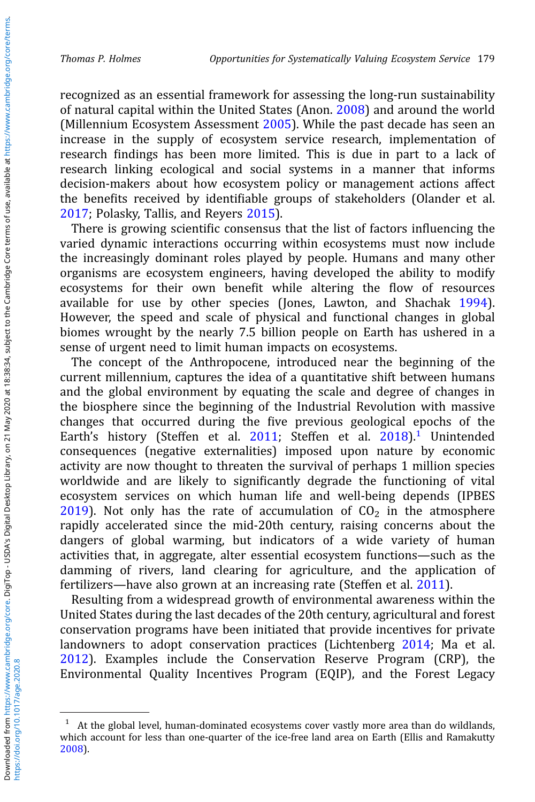recognized as an essential framework for assessing the long-run sustainability of natural capital within the United States (Anon. [2008\)](#page-10-0) and around the world (Millennium Ecosystem Assessment [2005](#page-12-0)). While the past decade has seen an increase in the supply of ecosystem service research, implementation of research findings has been more limited. This is due in part to a lack of research linking ecological and social systems in a manner that informs decision-makers about how ecosystem policy or management actions affect the benefits received by identifiable groups of stakeholders (Olander et al. [2017;](#page-12-0) Polasky, Tallis, and Reyers [2015](#page-12-0)).

There is growing scientific consensus that the list of factors influencing the varied dynamic interactions occurring within ecosystems must now include the increasingly dominant roles played by people. Humans and many other organisms are ecosystem engineers, having developed the ability to modify ecosystems for their own benefit while altering the flow of resources available for use by other species (Jones, Lawton, and Shachak [1994\)](#page-12-0). However, the speed and scale of physical and functional changes in global biomes wrought by the nearly 7.5 billion people on Earth has ushered in a sense of urgent need to limit human impacts on ecosystems.

The concept of the Anthropocene, introduced near the beginning of the current millennium, captures the idea of a quantitative shift between humans and the global environment by equating the scale and degree of changes in the biosphere since the beginning of the Industrial Revolution with massive changes that occurred during the five previous geological epochs of the Earth's history (Steffen et al. [2011;](#page-12-0) Steffen et al. [2018\)](#page-12-0).<sup>1</sup> Unintended consequences (negative externalities) imposed upon nature by economic activity are now thought to threaten the survival of perhaps 1 million species worldwide and are likely to significantly degrade the functioning of vital ecosystem services on which human life and well-being depends (IPBES [2019\)](#page-11-0). Not only has the rate of accumulation of  $CO<sub>2</sub>$  in the atmosphere rapidly accelerated since the mid-20th century, raising concerns about the dangers of global warming, but indicators of a wide variety of human activities that, in aggregate, alter essential ecosystem functions—such as the damming of rivers, land clearing for agriculture, and the application of fertilizers—have also grown at an increasing rate (Steffen et al. [2011](#page-12-0)).

Resulting from a widespread growth of environmental awareness within the United States during the last decades of the 20th century, agricultural and forest conservation programs have been initiated that provide incentives for private landowners to adopt conservation practices (Lichtenberg [2014;](#page-12-0) Ma et al. [2012\)](#page-12-0). Examples include the Conservation Reserve Program (CRP), the Environmental Quality Incentives Program (EQIP), and the Forest Legacy

 $1$  At the global level, human-dominated ecosystems cover vastly more area than do wildlands, which account for less than one-quarter of the ice-free land area on Earth (Ellis and Ramakutty [2008](#page-11-0)).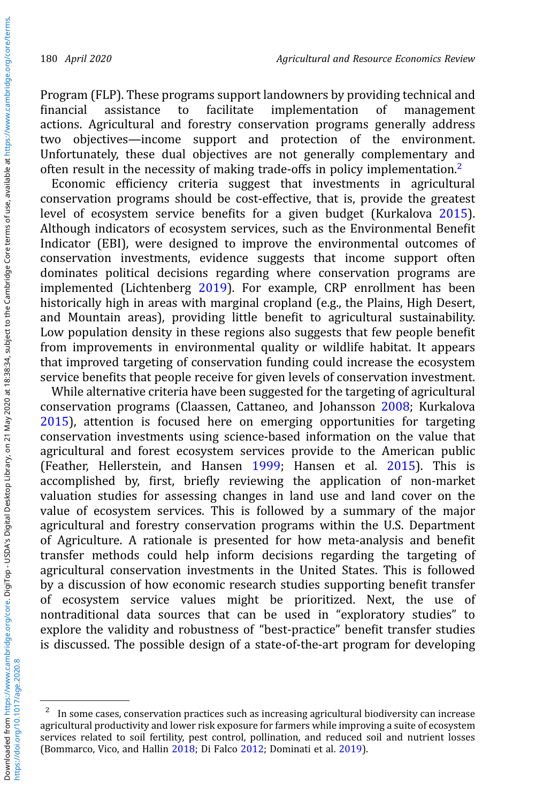Program (FLP). These programs support landowners by providing technical and financial assistance to facilitate implementation of management actions. Agricultural and forestry conservation programs generally address two objectives—income support and protection of the environment. Unfortunately, these dual objectives are not generally complementary and often result in the necessity of making trade-offs in policy implementation.<sup>2</sup>

Economic efficiency criteria suggest that investments in agricultural conservation programs should be cost-effective, that is, provide the greatest level of ecosystem service benefits for a given budget (Kurkalova [2015\)](#page-12-0). Although indicators of ecosystem services, such as the Environmental Benefit Indicator (EBI), were designed to improve the environmental outcomes of conservation investments, evidence suggests that income support often dominates political decisions regarding where conservation programs are implemented (Lichtenberg [2019](#page-12-0)). For example, CRP enrollment has been historically high in areas with marginal cropland (e.g., the Plains, High Desert, and Mountain areas), providing little benefit to agricultural sustainability. Low population density in these regions also suggests that few people benefit from improvements in environmental quality or wildlife habitat. It appears that improved targeting of conservation funding could increase the ecosystem service benefits that people receive for given levels of conservation investment.

While alternative criteria have been suggested for the targeting of agricultural conservation programs (Claassen, Cattaneo, and Johansson [2008;](#page-11-0) Kurkalova [2015\)](#page-12-0), attention is focused here on emerging opportunities for targeting conservation investments using science-based information on the value that agricultural and forest ecosystem services provide to the American public (Feather, Hellerstein, and Hansen [1999;](#page-11-0) Hansen et al. [2015\)](#page-11-0). This is accomplished by, first, briefly reviewing the application of non-market valuation studies for assessing changes in land use and land cover on the value of ecosystem services. This is followed by a summary of the major agricultural and forestry conservation programs within the U.S. Department of Agriculture. A rationale is presented for how meta-analysis and benefit transfer methods could help inform decisions regarding the targeting of agricultural conservation investments in the United States. This is followed by a discussion of how economic research studies supporting benefit transfer of ecosystem service values might be prioritized. Next, the use of nontraditional data sources that can be used in "exploratory studies" to explore the validity and robustness of "best-practice" benefit transfer studies is discussed. The possible design of a state-of-the-art program for developing

<sup>2</sup> In some cases, conservation practices such as increasing agricultural biodiversity can increase agricultural productivity and lower risk exposure for farmers while improving a suite of ecosystem services related to soil fertility, pest control, pollination, and reduced soil and nutrient losses (Bommarco, Vico, and Hallin [2018](#page-11-0); Di Falco [2012](#page-11-0); Dominati et al. [2019](#page-11-0)).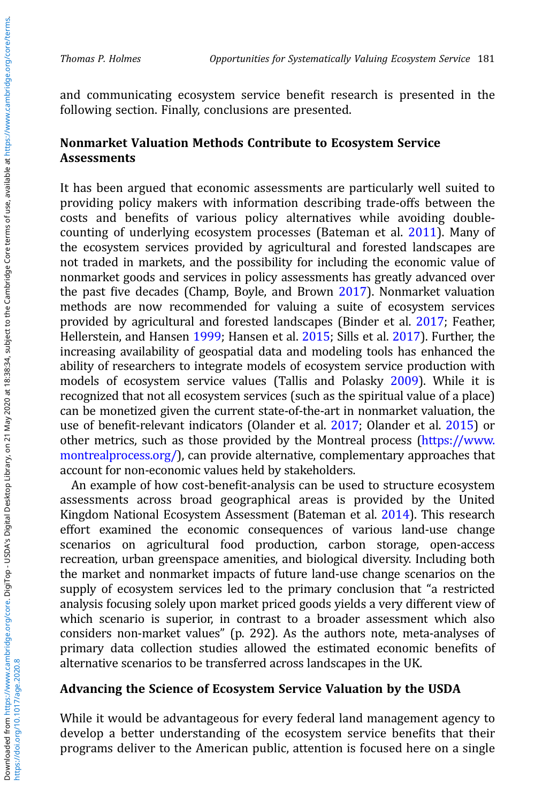and communicating ecosystem service benefit research is presented in the following section. Finally, conclusions are presented.

#### Nonmarket Valuation Methods Contribute to Ecosystem Service **Assessments**

It has been argued that economic assessments are particularly well suited to providing policy makers with information describing trade-offs between the costs and benefits of various policy alternatives while avoiding doublecounting of underlying ecosystem processes (Bateman et al. [2011\)](#page-10-0). Many of the ecosystem services provided by agricultural and forested landscapes are not traded in markets, and the possibility for including the economic value of nonmarket goods and services in policy assessments has greatly advanced over the past five decades (Champ, Boyle, and Brown [2017](#page-11-0)). Nonmarket valuation methods are now recommended for valuing a suite of ecosystem services provided by agricultural and forested landscapes (Binder et al. [2017;](#page-11-0) Feather, Hellerstein, and Hansen [1999;](#page-11-0) Hansen et al. [2015;](#page-11-0) Sills et al. [2017\)](#page-12-0). Further, the increasing availability of geospatial data and modeling tools has enhanced the ability of researchers to integrate models of ecosystem service production with models of ecosystem service values (Tallis and Polasky [2009\)](#page-13-0). While it is recognized that not all ecosystem services (such as the spiritual value of a place) can be monetized given the current state-of-the-art in nonmarket valuation, the use of benefit-relevant indicators (Olander et al. [2017;](#page-12-0) Olander et al. [2015\)](#page-12-0) or other metrics, such as those provided by the Montreal process [\(https://www.](https://www.montrealprocess.org/) [montrealprocess.org/\)](https://www.montrealprocess.org/), can provide alternative, complementary approaches that account for non-economic values held by stakeholders.

An example of how cost-benefit-analysis can be used to structure ecosystem assessments across broad geographical areas is provided by the United Kingdom National Ecosystem Assessment (Bateman et al. [2014\)](#page-10-0). This research effort examined the economic consequences of various land-use change scenarios on agricultural food production, carbon storage, open-access recreation, urban greenspace amenities, and biological diversity. Including both the market and nonmarket impacts of future land-use change scenarios on the supply of ecosystem services led to the primary conclusion that "a restricted analysis focusing solely upon market priced goods yields a very different view of which scenario is superior, in contrast to a broader assessment which also considers non-market values" (p. 292). As the authors note, meta-analyses of primary data collection studies allowed the estimated economic benefits of alternative scenarios to be transferred across landscapes in the UK.

#### Advancing the Science of Ecosystem Service Valuation by the USDA

While it would be advantageous for every federal land management agency to develop a better understanding of the ecosystem service benefits that their programs deliver to the American public, attention is focused here on a single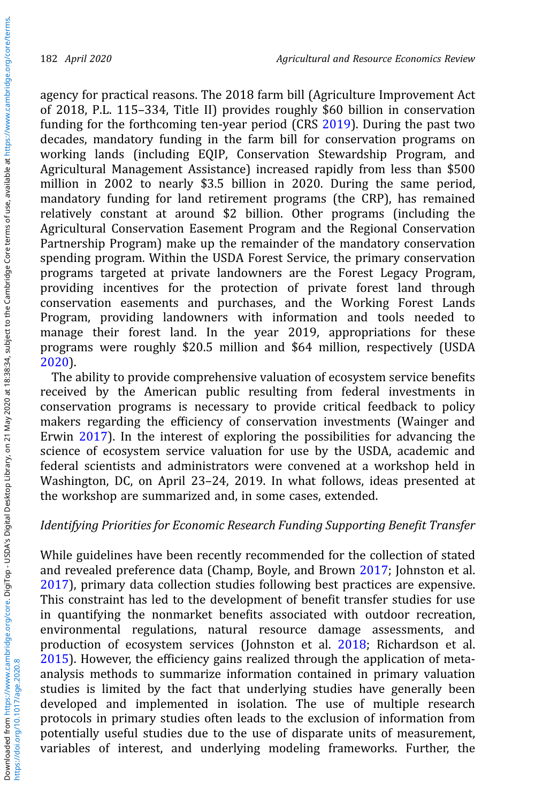agency for practical reasons. The 2018 farm bill (Agriculture Improvement Act of 2018, P.L. 115–334, Title II) provides roughly \$60 billion in conservation funding for the forthcoming ten-year period (CRS [2019](#page-11-0)). During the past two decades, mandatory funding in the farm bill for conservation programs on working lands (including EQIP, Conservation Stewardship Program, and Agricultural Management Assistance) increased rapidly from less than \$500 million in 2002 to nearly \$3.5 billion in 2020. During the same period, mandatory funding for land retirement programs (the CRP), has remained relatively constant at around \$2 billion. Other programs (including the Agricultural Conservation Easement Program and the Regional Conservation Partnership Program) make up the remainder of the mandatory conservation spending program. Within the USDA Forest Service, the primary conservation programs targeted at private landowners are the Forest Legacy Program, providing incentives for the protection of private forest land through conservation easements and purchases, and the Working Forest Lands Program, providing landowners with information and tools needed to manage their forest land. In the year 2019, appropriations for these programs were roughly \$20.5 million and \$64 million, respectively (USDA [2020\)](#page-13-0).

The ability to provide comprehensive valuation of ecosystem service benefits received by the American public resulting from federal investments in conservation programs is necessary to provide critical feedback to policy makers regarding the efficiency of conservation investments (Wainger and Erwin [2017\)](#page-13-0). In the interest of exploring the possibilities for advancing the science of ecosystem service valuation for use by the USDA, academic and federal scientists and administrators were convened at a workshop held in Washington, DC, on April 23–24, 2019. In what follows, ideas presented at the workshop are summarized and, in some cases, extended.

### Identifying Priorities for Economic Research Funding Supporting Benefit Transfer

While guidelines have been recently recommended for the collection of stated and revealed preference data (Champ, Boyle, and Brown [2017](#page-11-0); Johnston et al. [2017\)](#page-11-0), primary data collection studies following best practices are expensive. This constraint has led to the development of benefit transfer studies for use in quantifying the nonmarket benefits associated with outdoor recreation, environmental regulations, natural resource damage assessments, and production of ecosystem services (Johnston et al. [2018;](#page-12-0) Richardson et al. [2015\)](#page-12-0). However, the efficiency gains realized through the application of metaanalysis methods to summarize information contained in primary valuation studies is limited by the fact that underlying studies have generally been developed and implemented in isolation. The use of multiple research protocols in primary studies often leads to the exclusion of information from potentially useful studies due to the use of disparate units of measurement, variables of interest, and underlying modeling frameworks. Further, the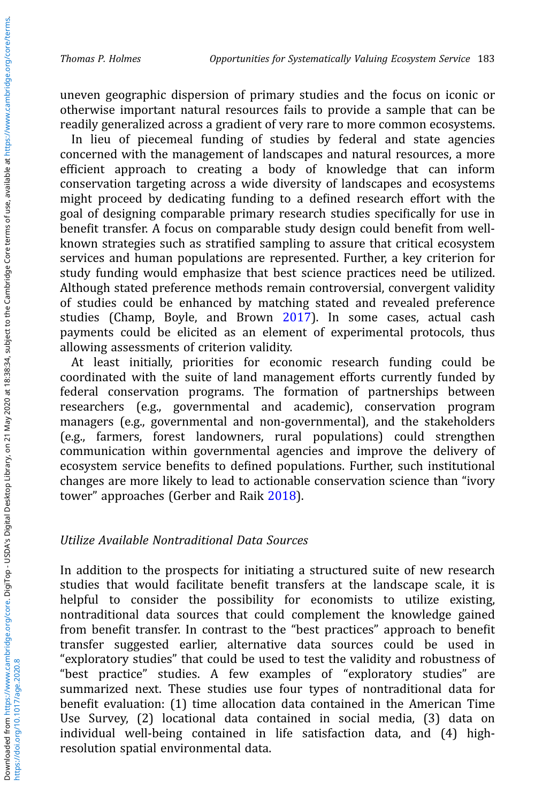uneven geographic dispersion of primary studies and the focus on iconic or otherwise important natural resources fails to provide a sample that can be readily generalized across a gradient of very rare to more common ecosystems.

In lieu of piecemeal funding of studies by federal and state agencies concerned with the management of landscapes and natural resources, a more efficient approach to creating a body of knowledge that can inform conservation targeting across a wide diversity of landscapes and ecosystems might proceed by dedicating funding to a defined research effort with the goal of designing comparable primary research studies specifically for use in benefit transfer. A focus on comparable study design could benefit from wellknown strategies such as stratified sampling to assure that critical ecosystem services and human populations are represented. Further, a key criterion for study funding would emphasize that best science practices need be utilized. Although stated preference methods remain controversial, convergent validity of studies could be enhanced by matching stated and revealed preference studies (Champ, Boyle, and Brown [2017](#page-11-0)). In some cases, actual cash payments could be elicited as an element of experimental protocols, thus allowing assessments of criterion validity.

At least initially, priorities for economic research funding could be coordinated with the suite of land management efforts currently funded by federal conservation programs. The formation of partnerships between researchers (e.g., governmental and academic), conservation program managers (e.g., governmental and non-governmental), and the stakeholders (e.g., farmers, forest landowners, rural populations) could strengthen communication within governmental agencies and improve the delivery of ecosystem service benefits to defined populations. Further, such institutional changes are more likely to lead to actionable conservation science than "ivory tower" approaches (Gerber and Raik [2018](#page-11-0)).

#### Utilize Available Nontraditional Data Sources

In addition to the prospects for initiating a structured suite of new research studies that would facilitate benefit transfers at the landscape scale, it is helpful to consider the possibility for economists to utilize existing, nontraditional data sources that could complement the knowledge gained from benefit transfer. In contrast to the "best practices" approach to benefit transfer suggested earlier, alternative data sources could be used "exploratory studies" that could be used to test the validity and robustness of "best practice" studies. A few examples of "exploratory studies" are summarized next. These studies use four types of nontraditional data for benefit evaluation: (1) time allocation data contained in the American Time Use Survey, (2) locational data contained in social media, (3) data on individual well-being contained in life satisfaction data, and (4) highresolution spatial environmental data.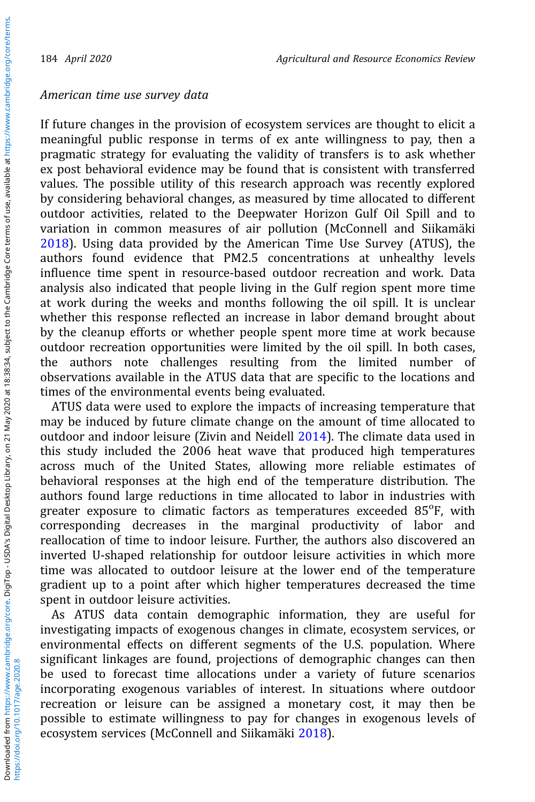#### American time use survey data

If future changes in the provision of ecosystem services are thought to elicit a meaningful public response in terms of ex ante willingness to pay, then a pragmatic strategy for evaluating the validity of transfers is to ask whether ex post behavioral evidence may be found that is consistent with transferred values. The possible utility of this research approach was recently explored by considering behavioral changes, as measured by time allocated to different outdoor activities, related to the Deepwater Horizon Gulf Oil Spill and to variation in common measures of air pollution (McConnell and Siikamäki [2018\)](#page-12-0). Using data provided by the American Time Use Survey (ATUS), the authors found evidence that PM2.5 concentrations at unhealthy levels influence time spent in resource-based outdoor recreation and work. Data analysis also indicated that people living in the Gulf region spent more time at work during the weeks and months following the oil spill. It is unclear whether this response reflected an increase in labor demand brought about by the cleanup efforts or whether people spent more time at work because outdoor recreation opportunities were limited by the oil spill. In both cases, the authors note challenges resulting from the limited number of observations available in the ATUS data that are specific to the locations and times of the environmental events being evaluated.

ATUS data were used to explore the impacts of increasing temperature that may be induced by future climate change on the amount of time allocated to outdoor and indoor leisure (Zivin and Neidell [2014\)](#page-13-0). The climate data used in this study included the 2006 heat wave that produced high temperatures across much of the United States, allowing more reliable estimates of behavioral responses at the high end of the temperature distribution. The authors found large reductions in time allocated to labor in industries with greater exposure to climatic factors as temperatures exceeded 85°F, with corresponding decreases in the marginal productivity of labor and reallocation of time to indoor leisure. Further, the authors also discovered an inverted U-shaped relationship for outdoor leisure activities in which more time was allocated to outdoor leisure at the lower end of the temperature gradient up to a point after which higher temperatures decreased the time spent in outdoor leisure activities.

As ATUS data contain demographic information, they are useful for investigating impacts of exogenous changes in climate, ecosystem services, or environmental effects on different segments of the U.S. population. Where significant linkages are found, projections of demographic changes can then be used to forecast time allocations under a variety of future scenarios incorporating exogenous variables of interest. In situations where outdoor recreation or leisure can be assigned a monetary cost, it may then be possible to estimate willingness to pay for changes in exogenous levels of ecosystem services (McConnell and Siikamäki [2018](#page-12-0)).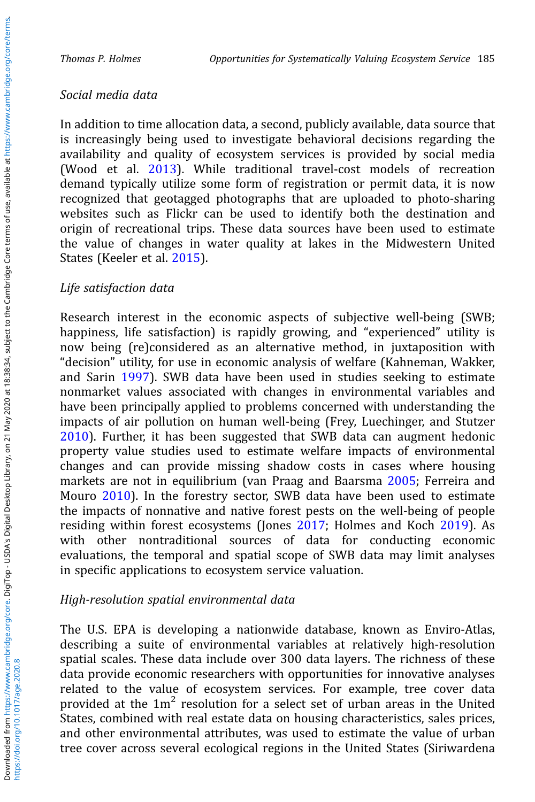#### Social media data

In addition to time allocation data, a second, publicly available, data source that is increasingly being used to investigate behavioral decisions regarding the availability and quality of ecosystem services is provided by social media (Wood et al. [2013\)](#page-13-0). While traditional travel-cost models of recreation demand typically utilize some form of registration or permit data, it is now recognized that geotagged photographs that are uploaded to photo-sharing websites such as Flickr can be used to identify both the destination and origin of recreational trips. These data sources have been used to estimate the value of changes in water quality at lakes in the Midwestern United States (Keeler et al. [2015\)](#page-12-0).

#### Life satisfaction data

Research interest in the economic aspects of subjective well-being (SWB; happiness, life satisfaction) is rapidly growing, and "experienced" utility is now being (re)considered as an alternative method, in juxtaposition with "decision" utility, for use in economic analysis of welfare (Kahneman, Wakker, and Sarin [1997\)](#page-12-0). SWB data have been used in studies seeking to estimate nonmarket values associated with changes in environmental variables and have been principally applied to problems concerned with understanding the impacts of air pollution on human well-being (Frey, Luechinger, and Stutzer [2010\)](#page-11-0). Further, it has been suggested that SWB data can augment hedonic property value studies used to estimate welfare impacts of environmental changes and can provide missing shadow costs in cases where housing markets are not in equilibrium (van Praag and Baarsma [2005;](#page-13-0) Ferreira and Mouro [2010\)](#page-11-0). In the forestry sector, SWB data have been used to estimate the impacts of nonnative and native forest pests on the well-being of people residing within forest ecosystems (Jones [2017;](#page-12-0) Holmes and Koch [2019](#page-11-0)). As with other nontraditional sources of data for conducting economic evaluations, the temporal and spatial scope of SWB data may limit analyses in specific applications to ecosystem service valuation.

#### High-resolution spatial environmental data

The U.S. EPA is developing a nationwide database, known as Enviro-Atlas, describing a suite of environmental variables at relatively high-resolution spatial scales. These data include over 300 data layers. The richness of these data provide economic researchers with opportunities for innovative analyses related to the value of ecosystem services. For example, tree cover data provided at the  $1m<sup>2</sup>$  resolution for a select set of urban areas in the United States, combined with real estate data on housing characteristics, sales prices, and other environmental attributes, was used to estimate the value of urban tree cover across several ecological regions in the United States (Siriwardena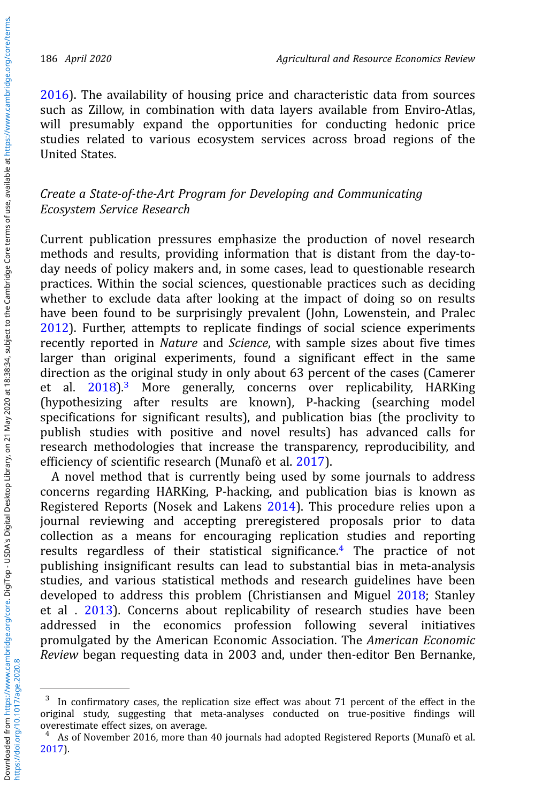186 April 2020 Agricultural and Resource Economics Review

[2016\)](#page-12-0). The availability of housing price and characteristic data from sources such as Zillow, in combination with data layers available from Enviro-Atlas, will presumably expand the opportunities for conducting hedonic price studies related to various ecosystem services across broad regions of the United States.

## Create a State-of-the-Art Program for Developing and Communicating Ecosystem Service Research

Current publication pressures emphasize the production of novel research methods and results, providing information that is distant from the day-today needs of policy makers and, in some cases, lead to questionable research practices. Within the social sciences, questionable practices such as deciding whether to exclude data after looking at the impact of doing so on results have been found to be surprisingly prevalent (John, Lowenstein, and Pralec [2012\)](#page-11-0). Further, attempts to replicate findings of social science experiments recently reported in Nature and Science, with sample sizes about five times larger than original experiments, found a significant effect in the same direction as the original study in only about 63 percent of the cases (Camerer et al. [2018\)](#page-11-0)<sup>3</sup> More generally, concerns over replicability, HARKing (hypothesizing after results are known), P-hacking (searching model specifications for significant results), and publication bias (the proclivity to publish studies with positive and novel results) has advanced calls for research methodologies that increase the transparency, reproducibility, and efficiency of scientific research (Munafò et al. [2017](#page-12-0)).

A novel method that is currently being used by some journals to address concerns regarding HARKing, P-hacking, and publication bias is known as Registered Reports (Nosek and Lakens [2014\)](#page-12-0). This procedure relies upon a journal reviewing and accepting preregistered proposals prior to data collection as a means for encouraging replication studies and reporting results regardless of their statistical significance.4 The practice of not publishing insignificant results can lead to substantial bias in meta-analysis studies, and various statistical methods and research guidelines have been developed to address this problem (Christiansen and Miguel [2018;](#page-11-0) Stanley et al . [2013](#page-12-0)). Concerns about replicability of research studies have been addressed in the economics profession following several initiatives promulgated by the American Economic Association. The American Economic Review began requesting data in 2003 and, under then-editor Ben Bernanke,

 $3\,$  In confirmatory cases, the replication size effect was about 71 percent of the effect in the original study, suggesting that meta-analyses conducted on true-positive findings will

As of November 2016, more than 40 journals had adopted Registered Reports (Munafò et al. [2017](#page-12-0)).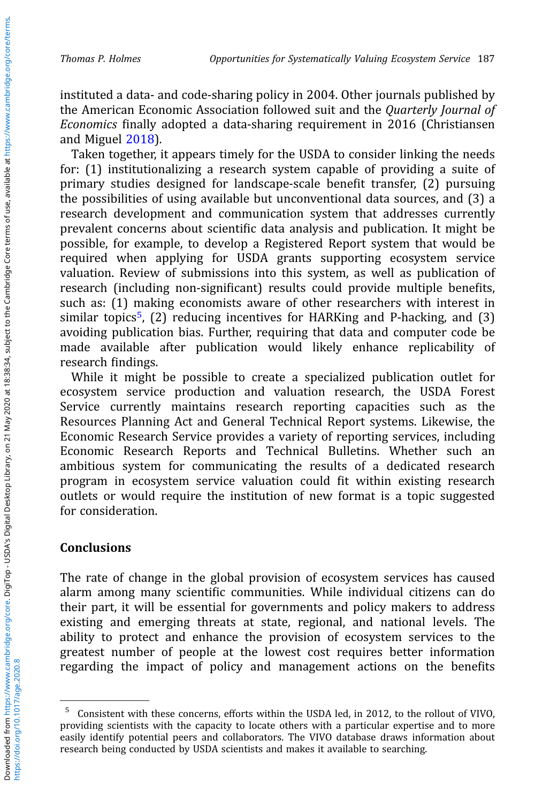instituted a data- and code-sharing policy in 2004. Other journals published by the American Economic Association followed suit and the Quarterly Journal of Economics finally adopted a data-sharing requirement in 2016 (Christiansen and Miguel [2018\)](#page-11-0).

Taken together, it appears timely for the USDA to consider linking the needs for: (1) institutionalizing a research system capable of providing a suite of primary studies designed for landscape-scale benefit transfer, (2) pursuing the possibilities of using available but unconventional data sources, and (3) a research development and communication system that addresses currently prevalent concerns about scientific data analysis and publication. It might be possible, for example, to develop a Registered Report system that would be required when applying for USDA grants supporting ecosystem service valuation. Review of submissions into this system, as well as publication of research (including non-significant) results could provide multiple benefits, such as: (1) making economists aware of other researchers with interest in similar topics<sup>5</sup>, (2) reducing incentives for HARKing and P-hacking, and (3) avoiding publication bias. Further, requiring that data and computer code be made available after publication would likely enhance replicability of research findings.

While it might be possible to create a specialized publication outlet for ecosystem service production and valuation research, the USDA Forest Service currently maintains research reporting capacities such as the Resources Planning Act and General Technical Report systems. Likewise, the Economic Research Service provides a variety of reporting services, including Economic Research Reports and Technical Bulletins. Whether such an ambitious system for communicating the results of a dedicated research program in ecosystem service valuation could fit within existing research outlets or would require the institution of new format is a topic suggested for consideration.

#### Conclusions

The rate of change in the global provision of ecosystem services has caused alarm among many scientific communities. While individual citizens can do their part, it will be essential for governments and policy makers to address existing and emerging threats at state, regional, and national levels. The ability to protect and enhance the provision of ecosystem services to the greatest number of people at the lowest cost requires better information regarding the impact of policy and management actions on the benefits

<sup>5</sup> Consistent with these concerns, efforts within the USDA led, in 2012, to the rollout of VIVO, providing scientists with the capacity to locate others with a particular expertise and to more easily identify potential peers and collaborators. The VIVO database draws information about research being conducted by USDA scientists and makes it available to searching.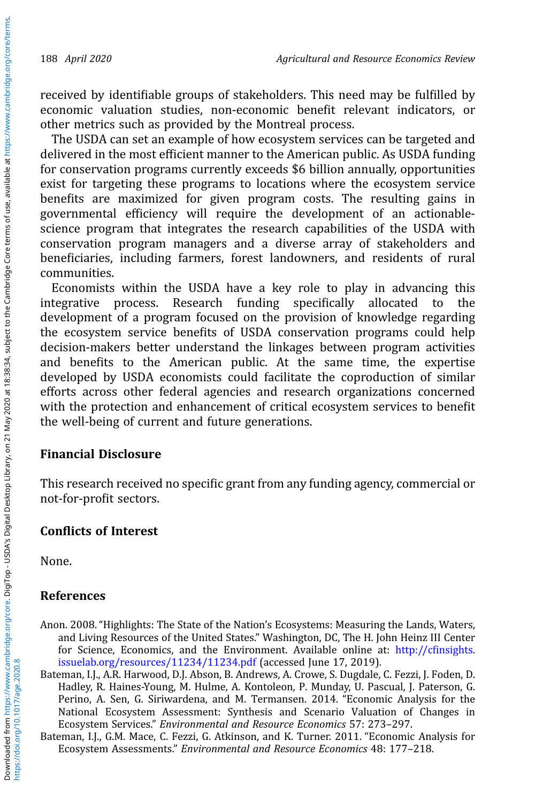<span id="page-10-0"></span>received by identifiable groups of stakeholders. This need may be fulfilled by economic valuation studies, non-economic benefit relevant indicators, or other metrics such as provided by the Montreal process.

The USDA can set an example of how ecosystem services can be targeted and delivered in the most efficient manner to the American public. As USDA funding for conservation programs currently exceeds \$6 billion annually, opportunities exist for targeting these programs to locations where the ecosystem service benefits are maximized for given program costs. The resulting gains in governmental efficiency will require the development of an actionablescience program that integrates the research capabilities of the USDA with conservation program managers and a diverse array of stakeholders and beneficiaries, including farmers, forest landowners, and residents of rural communities.

Economists within the USDA have a key role to play in advancing this integrative process. Research funding specifically allocated to the development of a program focused on the provision of knowledge regarding the ecosystem service benefits of USDA conservation programs could help decision-makers better understand the linkages between program activities and benefits to the American public. At the same time, the expertise developed by USDA economists could facilitate the coproduction of similar efforts across other federal agencies and research organizations concerned with the protection and enhancement of critical ecosystem services to benefit the well-being of current and future generations.

## Financial Disclosure

This research received no specific grant from any funding agency, commercial or not-for-profit sectors.

# Conflicts of Interest

None.

# References

- Anon. 2008."Highlights: The State of the Nation's Ecosystems: Measuring the Lands, Waters, and Living Resources of the United States." Washington, DC, The H. John Heinz III Center for Science, Economics, and the Environment. Available online at: [http://c](http://cfinsights.issuelab.org/resources/11234/11234.pdf)finsights. [issuelab.org/resources/11234/11234.pdf](http://cfinsights.issuelab.org/resources/11234/11234.pdf) (accessed June 17, 2019).
- Bateman, I.J., A.R. Harwood, D.J. Abson, B. Andrews, A. Crowe, S. Dugdale, C. Fezzi, J. Foden, D. Hadley, R. Haines-Young, M. Hulme, A. Kontoleon, P. Munday, U. Pascual, J. Paterson, G. Perino, A. Sen, G. Siriwardena, and M. Termansen. 2014. "Economic Analysis for the National Ecosystem Assessment: Synthesis and Scenario Valuation of Changes in Ecosystem Services." Environmental and Resource Economics 57: 273–297.
- Bateman, I.J., G.M. Mace, C. Fezzi, G. Atkinson, and K. Turner. 2011. "Economic Analysis for Ecosystem Assessments." Environmental and Resource Economics 48: 177–218.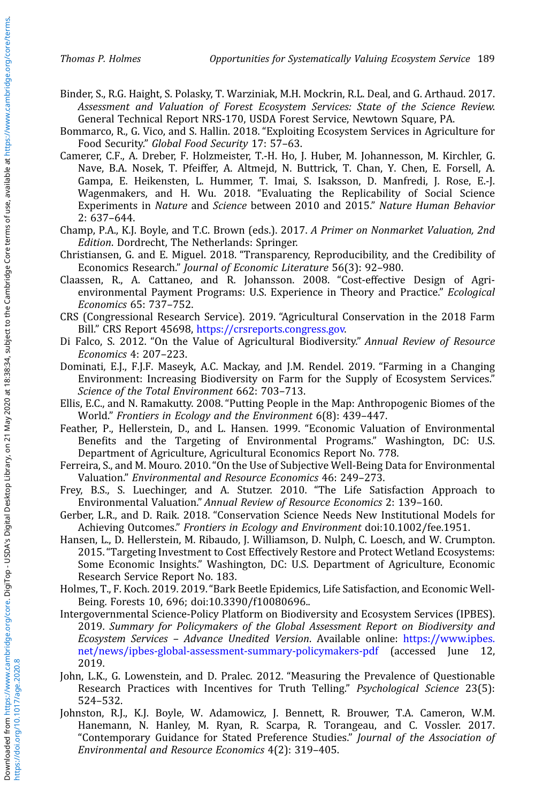- <span id="page-11-0"></span>Binder, S., R.G. Haight, S. Polasky, T. Warziniak, M.H. Mockrin, R.L. Deal, and G. Arthaud. 2017. Assessment and Valuation of Forest Ecosystem Services: State of the Science Review. General Technical Report NRS-170, USDA Forest Service, Newtown Square, PA.
- Bommarco, R., G. Vico, and S. Hallin. 2018. "Exploiting Ecosystem Services in Agriculture for Food Security." Global Food Security 17: 57–63.
- Camerer, C.F., A. Dreber, F. Holzmeister, T.-H. Ho, J. Huber, M. Johannesson, M. Kirchler, G. Nave, B.A. Nosek, T. Pfeiffer, A. Altmejd, N. Buttrick, T. Chan, Y. Chen, E. Forsell, A. Gampa, E. Heikensten, L. Hummer, T. Imai, S. Isaksson, D. Manfredi, J. Rose, E.-J. Wagenmakers, and H. Wu. 2018. "Evaluating the Replicability of Social Science Experiments in Nature and Science between 2010 and 2015." Nature Human Behavior 2: 637–644.
- Champ, P.A., K.J. Boyle, and T.C. Brown (eds.). 2017. A Primer on Nonmarket Valuation, 2nd Edition. Dordrecht, The Netherlands: Springer.
- Christiansen, G. and E. Miguel. 2018. "Transparency, Reproducibility, and the Credibility of Economics Research." Journal of Economic Literature 56(3): 92–980.
- Claassen, R., A. Cattaneo, and R. Johansson. 2008. "Cost-effective Design of Agrienvironmental Payment Programs: U.S. Experience in Theory and Practice." Ecological Economics 65: 737–752.
- CRS (Congressional Research Service). 2019. "Agricultural Conservation in the 2018 Farm Bill." CRS Report 45698, [https://crsreports.congress.gov.](https://crsreports.congress.gov)
- Di Falco, S. 2012. "On the Value of Agricultural Biodiversity." Annual Review of Resource Economics 4: 207–223.
- Dominati, E.J., F.J.F. Maseyk, A.C. Mackay, and J.M. Rendel. 2019. "Farming in a Changing Environment: Increasing Biodiversity on Farm for the Supply of Ecosystem Services." Science of the Total Environment 662: 703–713.
- Ellis, E.C., and N. Ramakutty. 2008."Putting People in the Map: Anthropogenic Biomes of the World." Frontiers in Ecology and the Environment 6(8): 439–447.
- Feather, P., Hellerstein, D., and L. Hansen. 1999. "Economic Valuation of Environmental Benefits and the Targeting of Environmental Programs." Washington, DC: Department of Agriculture, Agricultural Economics Report No. 778.
- Ferreira, S., and M. Mouro. 2010."On the Use of Subjective Well-Being Data for Environmental Valuation." Environmental and Resource Economics 46: 249–273.
- Frey, B.S., S. Luechinger, and A. Stutzer. 2010. "The Life Satisfaction Approach to Environmental Valuation." Annual Review of Resource Economics 2: 139–160.
- Gerber, L.R., and D. Raik. 2018. "Conservation Science Needs New Institutional Models for Achieving Outcomes." Frontiers in Ecology and Environment doi:10.1002/fee.1951.
- Hansen, L., D. Hellerstein, M. Ribaudo, J. Williamson, D. Nulph, C. Loesch, and W. Crumpton. 2015."Targeting Investment to Cost Effectively Restore and Protect Wetland Ecosystems: Some Economic Insights." Washington, DC: U.S. Department of Agriculture, Economic Research Service Report No. 183.
- Holmes, T., F. Koch. 2019. 2019."Bark Beetle Epidemics, Life Satisfaction, and Economic Well-Being. Forests 10, 696; doi:10.3390/f10080696..
- Intergovernmental Science-Policy Platform on Biodiversity and Ecosystem Services (IPBES). 2019. Summary for Policymakers of the Global Assessment Report on Biodiversity and Ecosystem Services – Advance Unedited Version. Available online: [https://www.ipbes.](https://www.ipbes.net/news/ipbes-global-assessment-summary-policymakers-pdf) [net/news/ipbes-global-assessment-summary-policymakers-pdf](https://www.ipbes.net/news/ipbes-global-assessment-summary-policymakers-pdf) (accessed June 12, 2019.
- John, L.K., G. Lowenstein, and D. Pralec. 2012. "Measuring the Prevalence of Questionable Research Practices with Incentives for Truth Telling." Psychological Science 23(5): 524–532.
- Johnston, R.J., K.J. Boyle, W. Adamowicz, J. Bennett, R. Brouwer, T.A. Cameron, W.M. Hanemann, N. Hanley, M. Ryan, R. Scarpa, R. Torangeau, and C. Vossler. 2017. "Contemporary Guidance for Stated Preference Studies." Journal of the Association of Environmental and Resource Economics 4(2): 319–405.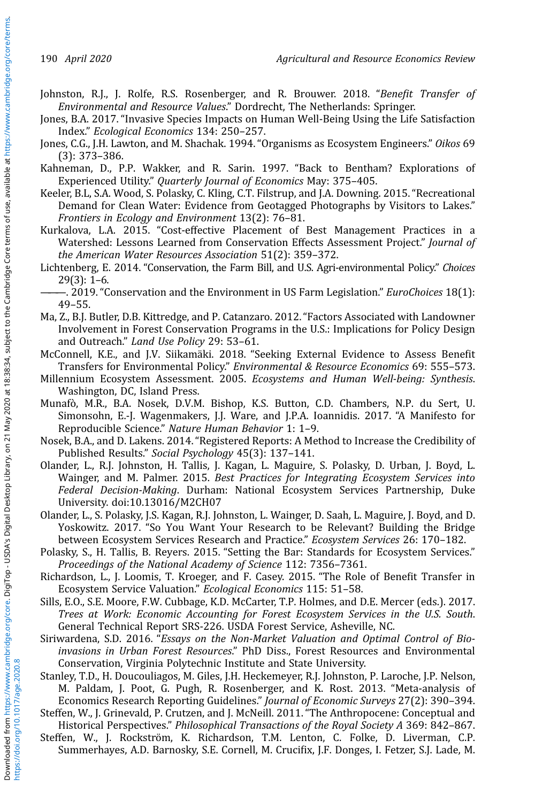- <span id="page-12-0"></span>Johnston, R.J., J. Rolfe, R.S. Rosenberger, and R. Brouwer. 2018. "Benefit Transfer of Environmental and Resource Values." Dordrecht, The Netherlands: Springer.
- Jones, B.A. 2017. "Invasive Species Impacts on Human Well-Being Using the Life Satisfaction Index." Ecological Economics 134: 250–257.
- Jones, C.G., J.H. Lawton, and M. Shachak. 1994."Organisms as Ecosystem Engineers." Oikos 69 (3): 373–386.
- Kahneman, D., P.P. Wakker, and R. Sarin. 1997. "Back to Bentham? Explorations of Experienced Utility." Quarterly Journal of Economics May: 375–405.
- Keeler, B.L, S.A. Wood, S. Polasky, C. Kling, C.T. Filstrup, and J.A. Downing. 2015."Recreational Demand for Clean Water: Evidence from Geotagged Photographs by Visitors to Lakes." Frontiers in Ecology and Environment 13(2): 76–81.
- Kurkalova, L.A. 2015. "Cost-effective Placement of Best Management Practices in a Watershed: Lessons Learned from Conservation Effects Assessment Project." Journal of the American Water Resources Association 51(2): 359–372.
- Lichtenberg, E. 2014. "Conservation, the Farm Bill, and U.S. Agri-environmental Policy." Choices 29(3): 1–6.
	- 2019. "Conservation and the Environment in US Farm Legislation." EuroChoices 18(1): 49–55.
- Ma, Z., B.J. Butler, D.B. Kittredge, and P. Catanzaro. 2012."Factors Associated with Landowner Involvement in Forest Conservation Programs in the U.S.: Implications for Policy Design and Outreach." Land Use Policy 29: 53–61.
- McConnell, K.E., and J.V. Siikamäki. 2018. "Seeking External Evidence to Assess Benefit Transfers for Environmental Policy." Environmental & Resource Economics 69: 555–573.
- Millennium Ecosystem Assessment. 2005. Ecosystems and Human Well-being: Synthesis. Washington, DC, Island Press.
- Munafò, M.R., B.A. Nosek, D.V.M. Bishop, K.S. Button, C.D. Chambers, N.P. du Sert, U. Simonsohn, E.-J. Wagenmakers, J.J. Ware, and J.P.A. Ioannidis. 2017. "A Manifesto for Reproducible Science." Nature Human Behavior 1: 1–9.
- Nosek, B.A., and D. Lakens. 2014."Registered Reports: A Method to Increase the Credibility of Published Results." Social Psychology 45(3): 137–141.
- Olander, L., R.J. Johnston, H. Tallis, J. Kagan, L. Maguire, S. Polasky, D. Urban, J. Boyd, L. Wainger, and M. Palmer. 2015. Best Practices for Integrating Ecosystem Services into Federal Decision-Making. Durham: National Ecosystem Services Partnership, Duke University. doi:10.13016/M2CH07
- Olander, L., S. Polasky, J.S. Kagan, R.J. Johnston, L. Wainger, D. Saah, L. Maguire, J. Boyd, and D. Yoskowitz. 2017. "So You Want Your Research to be Relevant? Building the Bridge between Ecosystem Services Research and Practice." Ecosystem Services 26: 170-182.
- Polasky, S., H. Tallis, B. Reyers. 2015. "Setting the Bar: Standards for Ecosystem Services." Proceedings of the National Academy of Science 112: 7356–7361.
- Richardson, L., J. Loomis, T. Kroeger, and F. Casey. 2015. "The Role of Benefit Transfer in Ecosystem Service Valuation." Ecological Economics 115: 51–58.
- Sills, E.O., S.E. Moore, F.W. Cubbage, K.D. McCarter, T.P. Holmes, and D.E. Mercer (eds.). 2017. Trees at Work: Economic Accounting for Forest Ecosystem Services in the U.S. South. General Technical Report SRS-226. USDA Forest Service, Asheville, NC.
- Siriwardena, S.D. 2016. "Essays on the Non-Market Valuation and Optimal Control of Bioinvasions in Urban Forest Resources." PhD Diss., Forest Resources and Environmental Conservation, Virginia Polytechnic Institute and State University.
- Stanley, T.D., H. Doucouliagos, M. Giles, J.H. Heckemeyer, R.J. Johnston, P. Laroche, J.P. Nelson, M. Paldam, J. Poot, G. Pugh, R. Rosenberger, and K. Rost. 2013. "Meta-analysis of Economics Research Reporting Guidelines." Journal of Economic Surveys 27(2): 390–394.
- Steffen, W., J. Grinevald, P. Crutzen, and J. McNeill. 2011."The Anthropocene: Conceptual and Historical Perspectives." Philosophical Transactions of the Royal Society A 369: 842–867.
- Steffen, W., J. Rockström, K. Richardson, T.M. Lenton, C. Folke, D. Liverman, C.P. Summerhayes, A.D. Barnosky, S.E. Cornell, M. Crucifix, J.F. Donges, I. Fetzer, S.J. Lade, M.